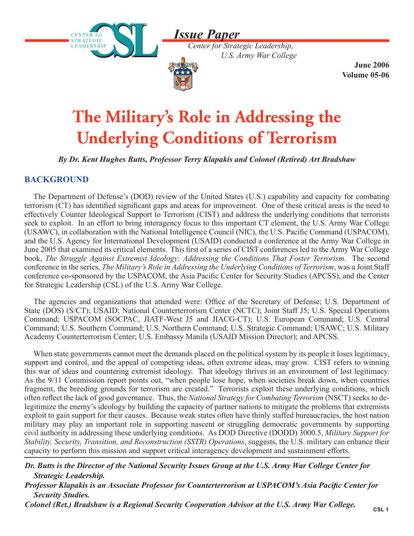*Issue Paper*





 **June 2006 Volume 05-06**

# **The Military's Role in Addressing the Underlying Conditions of Terrorism**

*By Dr. Kent Hughes Butts, Professor Terry Klapakis and Colonel (Retired) Art Bradshaw*

## **BACKGROUND**

The Department of Defense's (DOD) review of the United States (U.S.) capability and capacity for combating terrorism (CT) has identified significant gaps and areas for improvement. One of these critical areas is the need to effectively Counter Ideological Support to Terrorism (CIST) and address the underlying conditions that terrorists seek to exploit. In an effort to bring interagency focus to this important CT element, the U.S. Army War College (USAWC), in collaboration with the National Intelligence Council (NIC), the U.S. Pacific Command (USPACOM), and the U.S. Agency for International Development (USAID) conducted a conference at the Army War College in June 2005 that examined its critical elements. This first of a series of CIST conferences led to the Army War College book, *The Struggle Against Extremist Ideology: Addressing the Conditions That Foster Terrorism*. The second conference in the series, *The Military's Role in Addressing the Underlying Conditions of Terrorism*, was a Joint Staff conference co-sponsored by the USPACOM, the Asia Pacific Center for Security Studies (APCSS), and the Center for Strategic Leadership (CSL) of the U.S. Army War College.

The agencies and organizations that attended were: Office of the Secretary of Defense; U.S. Department of State (DOS) (S/CT); USAID; National Counterterrorism Center (NCTC); Joint Staff J5; U.S. Special Operations Command; USPACOM (SOCPAC, JIATF-West J5 and JIACG-CT); U.S. European Command; U.S. Central Command; U.S. Southern Command; U.S. Northern Command; U.S. Strategic Command; USAWC; U.S. Military Academy Counterterrorism Center; U.S. Embassy Manila (USAID Mission Director); and APCSS.

When state governments cannot meet the demands placed on the political system by its people it loses legitimacy, support and control, and the appeal of competing ideas, often extreme ideas, may grow. CIST refers to winning this war of ideas and countering extremist ideology. That ideology thrives in an environment of lost legitimacy. As the 9/11 Commission report points out, "when people lose hope, when societies break down, when countries fragment, the breeding grounds for terrorism are created." Terrorists exploit these underlying conditions, which often reflect the lack of good governance. Thus, the *National Strategy for Combating Terrorism* (NSCT) seeks to delegitimize the enemy's ideology by building the capacity of partner nations to mitigate the problems that extremists exploit to gain support for their causes. Because weak states often have thinly staffed bureaucracies, the host nation military may play an important role in supporting nascent or struggling democratic governments by supporting civil authority in addressing these underlying conditions. As DOD Directive (DODD) 3000.5, *Military Support for Stability, Security, Transition, and Reconstruction (SSTR) Operations*, suggests, the U.S. military can enhance their capacity to perform this mission and support critical interagency development and sustainment efforts.

*Dr. Butts is the Director of the National Security Issues Group at the U.S. Army War College Center for Strategic Leadership.* 

*Professor Klapakis is an Associate Professor for Counterterrorism at USPACOM's Asia Pacific Center for Security Studies.* 

*Colonel (Ret.) Bradshaw is a Regional Security Cooperation Advisor at the U.S. Army War College.*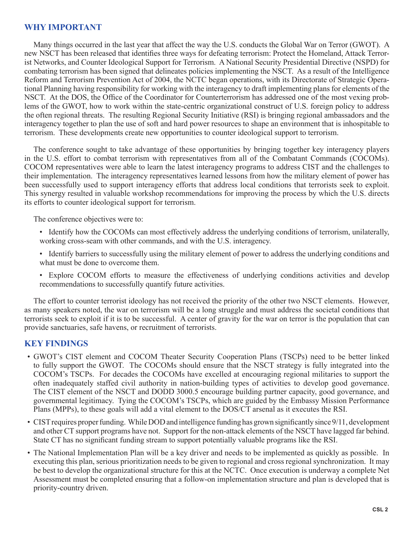#### **WHY IMPORTANT**

Many things occurred in the last year that affect the way the U.S. conducts the Global War on Terror (GWOT). A new NSCT has been released that identifies three ways for defeating terrorism: Protect the Homeland, Attack Terrorist Networks, and Counter Ideological Support for Terrorism. A National Security Presidential Directive (NSPD) for combating terrorism has been signed that delineates policies implementing the NSCT. As a result of the Intelligence Reform and Terrorism Prevention Act of 2004, the NCTC began operations, with its Directorate of Strategic Operational Planning having responsibility for working with the interagency to draft implementing plans for elements of the NSCT. At the DOS, the Office of the Coordinator for Counterterrorism has addressed one of the most vexing problems of the GWOT, how to work within the state-centric organizational construct of U.S. foreign policy to address the often regional threats. The resulting Regional Security Initiative (RSI) is bringing regional ambassadors and the interagency together to plan the use of soft and hard power resources to shape an environment that is inhospitable to terrorism. These developments create new opportunities to counter ideological support to terrorism.

The conference sought to take advantage of these opportunities by bringing together key interagency players in the U.S. effort to combat terrorism with representatives from all of the Combatant Commands (COCOMs). COCOM representatives were able to learn the latest interagency programs to address CIST and the challenges to their implementation. The interagency representatives learned lessons from how the military element of power has been successfully used to support interagency efforts that address local conditions that terrorists seek to exploit. This synergy resulted in valuable workshop recommendations for improving the process by which the U.S. directs its efforts to counter ideological support for terrorism.

The conference objectives were to:

- Identify how the COCOMs can most effectively address the underlying conditions of terrorism, unilaterally, working cross-seam with other commands, and with the U.S. interagency.
- Identify barriers to successfully using the military element of power to address the underlying conditions and what must be done to overcome them.
- Explore COCOM efforts to measure the effectiveness of underlying conditions activities and develop recommendations to successfully quantify future activities.

The effort to counter terrorist ideology has not received the priority of the other two NSCT elements. However, as many speakers noted, the war on terrorism will be a long struggle and must address the societal conditions that terrorists seek to exploit if it is to be successful. A center of gravity for the war on terror is the population that can provide sanctuaries, safe havens, or recruitment of terrorists.

#### **KEY FINDINGS**

- GWOT's CIST element and COCOM Theater Security Cooperation Plans (TSCPs) need to be better linked to fully support the GWOT. The COCOMs should ensure that the NSCT strategy is fully integrated into the COCOM's TSCPs. For decades the COCOMs have excelled at encouraging regional militaries to support the often inadequately staffed civil authority in nation-building types of activities to develop good governance. The CIST element of the NSCT and DODD 3000.5 encourage building partner capacity, good governance, and governmental legitimacy. Tying the COCOM's TSCPs, which are guided by the Embassy Mission Performance Plans (MPPs), to these goals will add a vital element to the DOS/CT arsenal as it executes the RSI.
- CIST requires proper funding. While DOD and intelligence funding has grown significantly since 9/11, development and other CT support programs have not. Support for the non-attack elements of the NSCT have lagged far behind. State CT has no significant funding stream to support potentially valuable programs like the RSI.
- The National Implementation Plan will be a key driver and needs to be implemented as quickly as possible. In executing this plan, serious prioritization needs to be given to regional and cross regional synchronization. It may be best to develop the organizational structure for this at the NCTC. Once execution is underway a complete Net Assessment must be completed ensuring that a follow-on implementation structure and plan is developed that is priority-country driven.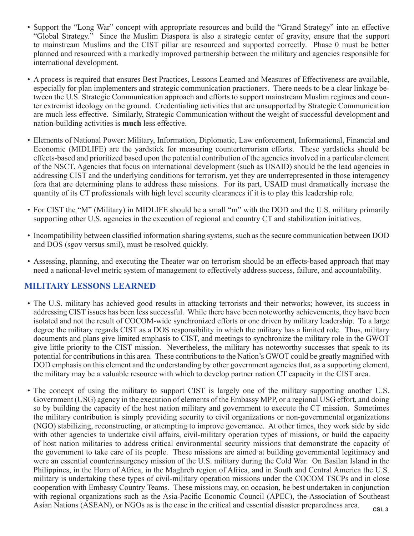- Support the "Long War" concept with appropriate resources and build the "Grand Strategy" into an effective "Global Strategy." Since the Muslim Diaspora is also a strategic center of gravity, ensure that the support to mainstream Muslims and the CIST pillar are resourced and supported correctly. Phase 0 must be better planned and resourced with a markedly improved partnership between the military and agencies responsible for international development.
- A process is required that ensures Best Practices, Lessons Learned and Measures of Effectiveness are available, especially for plan implementers and strategic communication practioners. There needs to be a clear linkage between the U.S. Strategic Communication approach and efforts to support mainstream Muslim regimes and counter extremist ideology on the ground. Credentialing activities that are unsupported by Strategic Communication are much less effective. Similarly, Strategic Communication without the weight of successful development and nation-building activities is **much** less effective.
- Elements of National Power: Military, Information, Diplomatic, Law enforcement, Informational, Financial and Economic (MIDLIFE) are the yardstick for measuring counterterrorism efforts. These yardsticks should be effects-based and prioritized based upon the potential contribution of the agencies involved in a particular element of the NSCT. Agencies that focus on international development (such as USAID) should be the lead agencies in addressing CIST and the underlying conditions for terrorism, yet they are underrepresented in those interagency fora that are determining plans to address these missions. For its part, USAID must dramatically increase the quantity of its CT professionals with high level security clearances if it is to play this leadership role.
- For CIST the "M" (Military) in MIDLIFE should be a small "m" with the DOD and the U.S. military primarily supporting other U.S. agencies in the execution of regional and country CT and stabilization initiatives.
- Incompatibility between classified information sharing systems, such as the secure communication between DOD and DOS (sgov versus smil), must be resolved quickly.
- Assessing, planning, and executing the Theater war on terrorism should be an effects-based approach that may need a national-level metric system of management to effectively address success, failure, and accountability.

#### **MILITARY LESSONS LEARNED**

- The U.S. military has achieved good results in attacking terrorists and their networks; however, its success in addressing CIST issues has been less successful. While there have been noteworthy achievements, they have been isolated and not the result of COCOM-wide synchronized efforts or one driven by military leadership. To a large degree the military regards CIST as a DOS responsibility in which the military has a limited role. Thus, military documents and plans give limited emphasis to CIST, and meetings to synchronize the military role in the GWOT give little priority to the CIST mission. Nevertheless, the military has noteworthy successes that speak to its potential for contributions in this area. These contributions to the Nation's GWOT could be greatly magnified with DOD emphasis on this element and the understanding by other government agencies that, as a supporting element, the military may be a valuable resource with which to develop partner nation CT capacity in the CIST area.
- The concept of using the military to support CIST is largely one of the military supporting another U.S. Government (USG) agency in the execution of elements of the Embassy MPP, or a regional USG effort, and doing so by building the capacity of the host nation military and government to execute the CT mission. Sometimes the military contribution is simply providing security to civil organizations or non-governmental organizations (NGO) stabilizing, reconstructing, or attempting to improve governance. At other times, they work side by side with other agencies to undertake civil affairs, civil-military operation types of missions, or build the capacity of host nation militaries to address critical environmental security missions that demonstrate the capacity of the government to take care of its people. These missions are aimed at building governmental legitimacy and were an essential counterinsurgency mission of the U.S. military during the Cold War. On Basilan Island in the Philippines, in the Horn of Africa, in the Maghreb region of Africa, and in South and Central America the U.S. military is undertaking these types of civil-military operation missions under the COCOM TSCPs and in close cooperation with Embassy Country Teams. These missions may, on occasion, be best undertaken in conjunction with regional organizations such as the Asia-Pacific Economic Council (APEC), the Association of Southeast Asian Nations (ASEAN), or NGOs as is the case in the critical and essential disaster preparedness area.